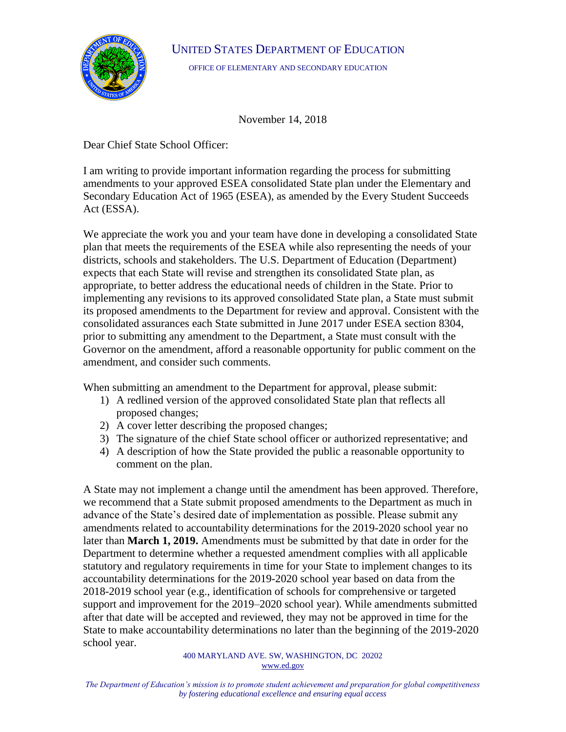

UNITED STATES DEPARTMENT OF EDUCATION

OFFICE OF ELEMENTARY AND SECONDARY EDUCATION

November 14, 2018

Dear Chief State School Officer:

I am writing to provide important information regarding the process for submitting amendments to your approved ESEA consolidated State plan under the Elementary and Secondary Education Act of 1965 (ESEA), as amended by the Every Student Succeeds Act (ESSA).

We appreciate the work you and your team have done in developing a consolidated State plan that meets the requirements of the ESEA while also representing the needs of your districts, schools and stakeholders. The U.S. Department of Education (Department) expects that each State will revise and strengthen its consolidated State plan, as appropriate, to better address the educational needs of children in the State. Prior to implementing any revisions to its approved consolidated State plan, a State must submit its proposed amendments to the Department for review and approval. Consistent with the consolidated assurances each State submitted in June 2017 under ESEA section 8304, prior to submitting any amendment to the Department, a State must consult with the Governor on the amendment, afford a reasonable opportunity for public comment on the amendment, and consider such comments.

When submitting an amendment to the Department for approval, please submit:

- 1) A redlined version of the approved consolidated State plan that reflects all proposed changes;
- 2) A cover letter describing the proposed changes;
- 3) The signature of the chief State school officer or authorized representative; and
- 4) A description of how the State provided the public a reasonable opportunity to comment on the plan.

A State may not implement a change until the amendment has been approved. Therefore, we recommend that a State submit proposed amendments to the Department as much in advance of the State's desired date of implementation as possible. Please submit any amendments related to accountability determinations for the 2019-2020 school year no later than **March 1, 2019.** Amendments must be submitted by that date in order for the Department to determine whether a requested amendment complies with all applicable statutory and regulatory requirements in time for your State to implement changes to its accountability determinations for the 2019-2020 school year based on data from the 2018-2019 school year (e.g., identification of schools for comprehensive or targeted support and improvement for the 2019–2020 school year). While amendments submitted after that date will be accepted and reviewed, they may not be approved in time for the State to make accountability determinations no later than the beginning of the 2019-2020 school year.

> 400 MARYLAND AVE. SW, WASHINGTON, DC 20202 [www.ed.gov](http://www.ed.gov/)